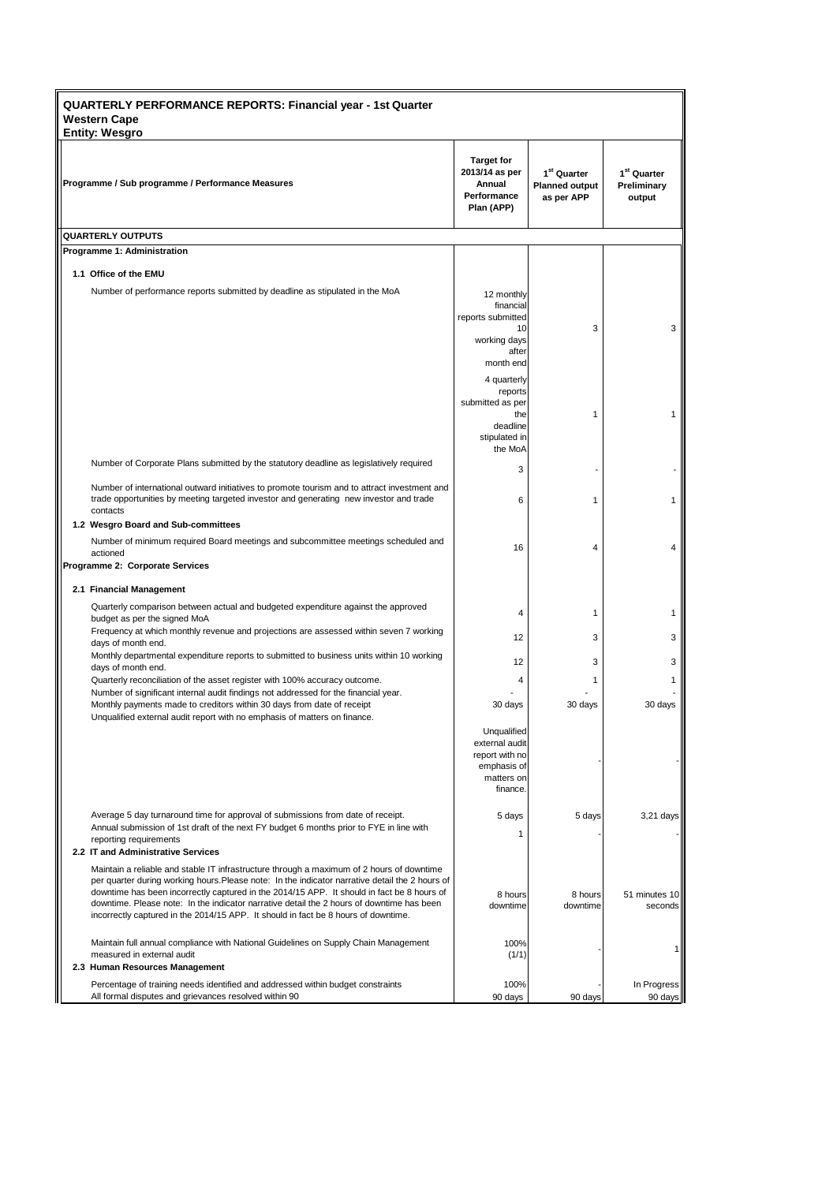| <b>QUARTERLY PERFORMANCE REPORTS: Financial year - 1st Quarter</b><br><b>Western Cape</b><br><b>Entity: Wesgro</b>                                                                                                                                                                                                                                                                                                                                                            |                                                                                          |                                                                |                                                  |  |  |  |  |
|-------------------------------------------------------------------------------------------------------------------------------------------------------------------------------------------------------------------------------------------------------------------------------------------------------------------------------------------------------------------------------------------------------------------------------------------------------------------------------|------------------------------------------------------------------------------------------|----------------------------------------------------------------|--------------------------------------------------|--|--|--|--|
| Programme / Sub programme / Performance Measures                                                                                                                                                                                                                                                                                                                                                                                                                              | <b>Target for</b><br>2013/14 as per<br>Annual<br>Performance<br>Plan (APP)               | 1 <sup>st</sup> Quarter<br><b>Planned output</b><br>as per APP | 1 <sup>st</sup> Quarter<br>Preliminary<br>output |  |  |  |  |
| <b>QUARTERLY OUTPUTS</b>                                                                                                                                                                                                                                                                                                                                                                                                                                                      |                                                                                          |                                                                |                                                  |  |  |  |  |
| Programme 1: Administration                                                                                                                                                                                                                                                                                                                                                                                                                                                   |                                                                                          |                                                                |                                                  |  |  |  |  |
| 1.1 Office of the EMU                                                                                                                                                                                                                                                                                                                                                                                                                                                         |                                                                                          |                                                                |                                                  |  |  |  |  |
| Number of performance reports submitted by deadline as stipulated in the MoA                                                                                                                                                                                                                                                                                                                                                                                                  | 12 monthly<br>financial<br>reports submitted<br>10                                       | 3                                                              | 3                                                |  |  |  |  |
|                                                                                                                                                                                                                                                                                                                                                                                                                                                                               | working days<br>after<br>month end                                                       |                                                                |                                                  |  |  |  |  |
|                                                                                                                                                                                                                                                                                                                                                                                                                                                                               | 4 quarterly<br>reports                                                                   |                                                                |                                                  |  |  |  |  |
|                                                                                                                                                                                                                                                                                                                                                                                                                                                                               | submitted as per<br>the<br>deadline<br>stipulated in<br>the MoA                          | 1                                                              | 1                                                |  |  |  |  |
| Number of Corporate Plans submitted by the statutory deadline as legislatively required                                                                                                                                                                                                                                                                                                                                                                                       | 3                                                                                        |                                                                |                                                  |  |  |  |  |
| Number of international outward initiatives to promote tourism and to attract investment and<br>trade opportunities by meeting targeted investor and generating new investor and trade                                                                                                                                                                                                                                                                                        | 6                                                                                        | 1                                                              | $\mathbf{1}$                                     |  |  |  |  |
| contacts<br>1.2 Wesgro Board and Sub-committees                                                                                                                                                                                                                                                                                                                                                                                                                               |                                                                                          |                                                                |                                                  |  |  |  |  |
| Number of minimum required Board meetings and subcommittee meetings scheduled and<br>actioned                                                                                                                                                                                                                                                                                                                                                                                 | 16                                                                                       | 4                                                              | 4                                                |  |  |  |  |
| Programme 2: Corporate Services                                                                                                                                                                                                                                                                                                                                                                                                                                               |                                                                                          |                                                                |                                                  |  |  |  |  |
| 2.1 Financial Management                                                                                                                                                                                                                                                                                                                                                                                                                                                      |                                                                                          |                                                                |                                                  |  |  |  |  |
| Quarterly comparison between actual and budgeted expenditure against the approved<br>budget as per the signed MoA                                                                                                                                                                                                                                                                                                                                                             | 4                                                                                        | 1                                                              | 1                                                |  |  |  |  |
| Frequency at which monthly revenue and projections are assessed within seven 7 working<br>days of month end.                                                                                                                                                                                                                                                                                                                                                                  | 12                                                                                       | 3                                                              | 3                                                |  |  |  |  |
| Monthly departmental expenditure reports to submitted to business units within 10 working<br>days of month end.                                                                                                                                                                                                                                                                                                                                                               | 12                                                                                       | 3                                                              | 3                                                |  |  |  |  |
| Quarterly reconciliation of the asset register with 100% accuracy outcome.<br>Number of significant internal audit findings not addressed for the financial year.                                                                                                                                                                                                                                                                                                             | 4                                                                                        | 1                                                              | 1                                                |  |  |  |  |
| Monthly payments made to creditors within 30 days from date of receipt<br>Unqualified external audit report with no emphasis of matters on finance.                                                                                                                                                                                                                                                                                                                           | 30 days                                                                                  | 30 days                                                        | 30 days                                          |  |  |  |  |
|                                                                                                                                                                                                                                                                                                                                                                                                                                                                               | Unqualified<br>external audit<br>report with no<br>emphasis of<br>matters on<br>finance. |                                                                |                                                  |  |  |  |  |
| Average 5 day turnaround time for approval of submissions from date of receipt.<br>Annual submission of 1st draft of the next FY budget 6 months prior to FYE in line with<br>reporting requirements<br>2.2 IT and Administrative Services                                                                                                                                                                                                                                    | 5 days<br>1                                                                              | 5 days                                                         | 3,21 days                                        |  |  |  |  |
| Maintain a reliable and stable IT infrastructure through a maximum of 2 hours of downtime<br>per quarter during working hours. Please note: In the indicator narrative detail the 2 hours of<br>downtime has been incorrectly captured in the 2014/15 APP. It should in fact be 8 hours of<br>downtime. Please note: In the indicator narrative detail the 2 hours of downtime has been<br>incorrectly captured in the 2014/15 APP. It should in fact be 8 hours of downtime. | 8 hours<br>downtime                                                                      | 8 hours<br>downtime                                            | 51 minutes 10<br>seconds                         |  |  |  |  |
| Maintain full annual compliance with National Guidelines on Supply Chain Management<br>measured in external audit<br>2.3 Human Resources Management                                                                                                                                                                                                                                                                                                                           | 100%<br>(1/1)                                                                            |                                                                |                                                  |  |  |  |  |
| Percentage of training needs identified and addressed within budget constraints                                                                                                                                                                                                                                                                                                                                                                                               | 100%                                                                                     |                                                                | In Progress                                      |  |  |  |  |
| All formal disputes and grievances resolved within 90                                                                                                                                                                                                                                                                                                                                                                                                                         | 90 days                                                                                  | 90 days                                                        | 90 days                                          |  |  |  |  |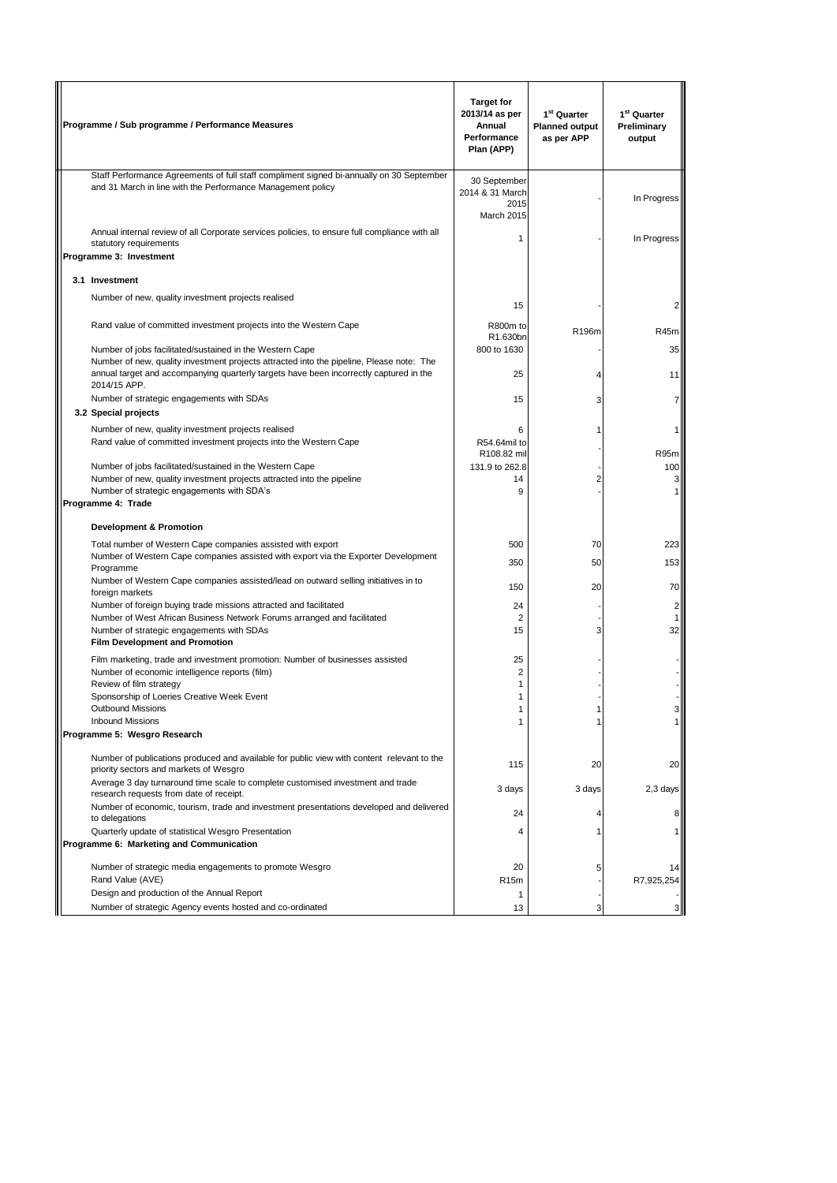| Programme / Sub programme / Performance Measures                                                                                                        | <b>Target for</b><br>2013/14 as per<br>Annual<br>Performance<br>Plan (APP) | 1 <sup>st</sup> Quarter<br><b>Planned output</b><br>as per APP | 1 <sup>st</sup> Quarter<br>Preliminary<br>output |
|---------------------------------------------------------------------------------------------------------------------------------------------------------|----------------------------------------------------------------------------|----------------------------------------------------------------|--------------------------------------------------|
| Staff Performance Agreements of full staff compliment signed bi-annually on 30 September<br>and 31 March in line with the Performance Management policy | 30 September<br>2014 & 31 March<br>2015<br>March 2015                      |                                                                | In Progress                                      |
| Annual internal review of all Corporate services policies, to ensure full compliance with all<br>statutory requirements                                 | 1                                                                          |                                                                | In Progress                                      |
| Programme 3: Investment                                                                                                                                 |                                                                            |                                                                |                                                  |
| 3.1 Investment                                                                                                                                          |                                                                            |                                                                |                                                  |
| Number of new, quality investment projects realised                                                                                                     | 15                                                                         |                                                                |                                                  |
| Rand value of committed investment projects into the Western Cape                                                                                       | R800m to<br>R1.630bn                                                       | R196m                                                          | R45m                                             |
| Number of jobs facilitated/sustained in the Western Cape<br>Number of new, quality investment projects attracted into the pipeline, Please note: The    | 800 to 1630                                                                |                                                                | 35                                               |
| annual target and accompanying quarterly targets have been incorrectly captured in the<br>2014/15 APP.                                                  | 25                                                                         |                                                                | 11                                               |
| Number of strategic engagements with SDAs<br>3.2 Special projects                                                                                       | 15                                                                         | 3                                                              |                                                  |
| Number of new, quality investment projects realised                                                                                                     | 6                                                                          |                                                                |                                                  |
| Rand value of committed investment projects into the Western Cape                                                                                       | R54.64mil to<br>R108.82 mil                                                |                                                                | R95m                                             |
| Number of jobs facilitated/sustained in the Western Cape                                                                                                | 131.9 to 262.8                                                             |                                                                | 100                                              |
| Number of new, quality investment projects attracted into the pipeline                                                                                  | 14                                                                         | 2                                                              | зI                                               |
| Number of strategic engagements with SDA's<br>Programme 4: Trade                                                                                        | 9                                                                          |                                                                |                                                  |
| <b>Development &amp; Promotion</b>                                                                                                                      |                                                                            |                                                                |                                                  |
| Total number of Western Cape companies assisted with export<br>Number of Western Cape companies assisted with export via the Exporter Development       | 500<br>350                                                                 | 70<br>50                                                       | 223<br>153                                       |
| Programme<br>Number of Western Cape companies assisted/lead on outward selling initiatives in to                                                        | 150                                                                        | 20                                                             | 70                                               |
| foreign markets<br>Number of foreign buying trade missions attracted and facilitated                                                                    | 24                                                                         |                                                                | $\overline{2}$                                   |
| Number of West African Business Network Forums arranged and facilitated                                                                                 | $\overline{2}$                                                             |                                                                | 1                                                |
| Number of strategic engagements with SDAs<br><b>Film Development and Promotion</b>                                                                      | 15                                                                         | 3                                                              | 32                                               |
| Film marketing, trade and investment promotion: Number of businesses assisted                                                                           | 25                                                                         |                                                                |                                                  |
| Number of economic intelligence reports (film)                                                                                                          | 2                                                                          |                                                                |                                                  |
| Review of film strategy<br>Sponsorship of Loeries Creative Week Event                                                                                   | 1<br>1                                                                     |                                                                |                                                  |
| <b>Outbound Missions</b>                                                                                                                                | 1                                                                          |                                                                |                                                  |
| <b>Inbound Missions</b><br>Programme 5: Wesgro Research                                                                                                 | 1                                                                          |                                                                |                                                  |
|                                                                                                                                                         |                                                                            |                                                                |                                                  |
| Number of publications produced and available for public view with content relevant to the<br>priority sectors and markets of Wesgro                    | 115                                                                        | 20                                                             | 20                                               |
| Average 3 day turnaround time scale to complete customised investment and trade<br>research requests from date of receipt.                              | 3 days                                                                     | 3 days                                                         | 2,3 days                                         |
| Number of economic, tourism, trade and investment presentations developed and delivered<br>to delegations                                               | 24                                                                         |                                                                |                                                  |
| Quarterly update of statistical Wesgro Presentation<br>Programme 6: Marketing and Communication                                                         | 4                                                                          |                                                                |                                                  |
| Number of strategic media engagements to promote Wesgro                                                                                                 | 20                                                                         | 5                                                              |                                                  |
| Rand Value (AVE)                                                                                                                                        | R <sub>15m</sub>                                                           |                                                                | R7,925,254                                       |
| Design and production of the Annual Report                                                                                                              | 1                                                                          |                                                                |                                                  |
| Number of strategic Agency events hosted and co-ordinated                                                                                               | 13                                                                         |                                                                |                                                  |